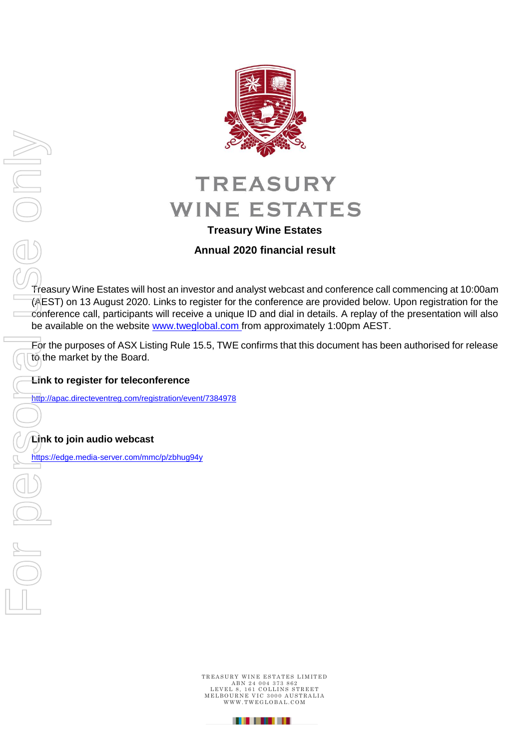

# **Treasury Wine Estates**

# **Annual 2020 financial result**

Treasury Wine Estates will host an investor and analyst webcast and conference call commencing at 10:00am (AEST) on 13 August 2020. Links to register for the conference are provided below. Upon registration for the conference call, participants will receive a unique ID and dial in details. A replay of the presentation will also be available on the website [www.tweglobal.com](http://www.tweglobal.com/) from approximately 1:00pm AEST.

For the purposes of ASX Listing Rule 15.5, TWE confirms that this document has been authorised for release to the market by the Board.

**Link to register for teleconference**

<http://apac.directeventreg.com/registration/event/7384978>

# **Link to join audio webcast**

TREASURY WINE ESTATES LIMITED ABN 24 004 373 862<br>LEVEL 8, 161 COLLINS STREET<br>MELBOURNE VIC 3000 AUSTRALIA<br>WWW.TWEGLOBAL.COM

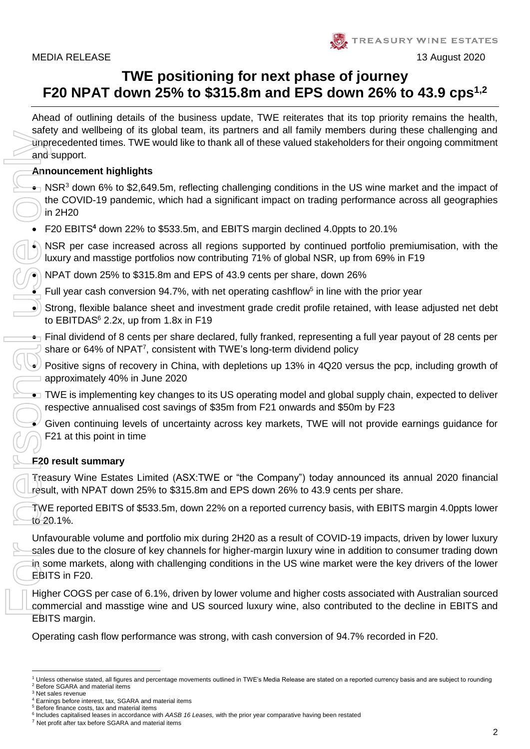

# **TWE positioning for next phase of journey F20 NPAT down 25% to \$315.8m and EPS down 26% to 43.9 cps1,2**

Ahead of outlining details of the business update, TWE reiterates that its top priority remains the health, safety and wellbeing of its global team, its partners and all family members during these challenging and unprecedented times. TWE would like to thank all of these valued stakeholders for their ongoing commitment and support.

# **Announcement highlights**

- NSR<sup>3</sup> down 6% to \$2,649.5m, reflecting challenging conditions in the US wine market and the impact of the COVID-19 pandemic, which had a significant impact on trading performance across all geographies in 2H20
- F20 EBITS**<sup>4</sup>** down 22% to \$533.5m, and EBITS margin declined 4.0ppts to 20.1%

 $\bullet$ ) NSR per case increased across all regions supported by continued portfolio premiumisation, with the luxury and masstige portfolios now contributing 71% of global NSR, up from 69% in F19

• NPAT down 25% to \$315.8m and EPS of 43.9 cents per share, down 26%

 $\blacksquare$  Full year cash conversion 94.7%, with net operating cashflow<sup>5</sup> in line with the prior year

• Strong, flexible balance sheet and investment grade credit profile retained, with lease adjusted net debt to EBITDAS $6$  2.2x, up from 1.8x in F19

 $\bullet$  Final dividend of 8 cents per share declared, fully franked, representing a full year payout of 28 cents per share or 64% of NPAT<sup>7</sup>, consistent with TWE's long-term dividend policy

• Positive signs of recovery in China, with depletions up 13% in 4Q20 versus the pcp, including growth of approximately 40% in June 2020

• TWE is implementing key changes to its US operating model and global supply chain, expected to deliver respective annualised cost savings of \$35m from F21 onwards and \$50m by F23

• Given continuing levels of uncertainty across key markets, TWE will not provide earnings guidance for F21 at this point in time

# **F20 result summary**

Treasury Wine Estates Limited (ASX:TWE or "the Company") today announced its annual 2020 financial result, with NPAT down 25% to \$315.8m and EPS down 26% to 43.9 cents per share.

TWE reported EBITS of \$533.5m, down 22% on a reported currency basis, with EBITS margin 4.0ppts lower to 20.1%.

Unfavourable volume and portfolio mix during 2H20 as a result of COVID-19 impacts, driven by lower luxury sales due to the closure of key channels for higher-margin luxury wine in addition to consumer trading down in some markets, along with challenging conditions in the US wine market were the key drivers of the lower EBITS in F20.

Higher COGS per case of 6.1%, driven by lower volume and higher costs associated with Australian sourced commercial and masstige wine and US sourced luxury wine, also contributed to the decline in EBITS and EBITS margin.

Operating cash flow performance was strong, with cash conversion of 94.7% recorded in F20.

**<sup>.</sup>** Unless otherwise stated, all figures and percentage movements outlined in TWE's Media Release are stated on a reported currency basis and are subject to rounding <sup>2</sup> Before SGARA and material items

<sup>&</sup>lt;sup>3</sup> Net sales revenue

<sup>4</sup> Earnings before interest, tax, SGARA and material items

<sup>5</sup> Before finance costs, tax and material items

<sup>6</sup> Includes capitalised leases in accordance with *AASB 16 Leases,* with the prior year comparative having been restated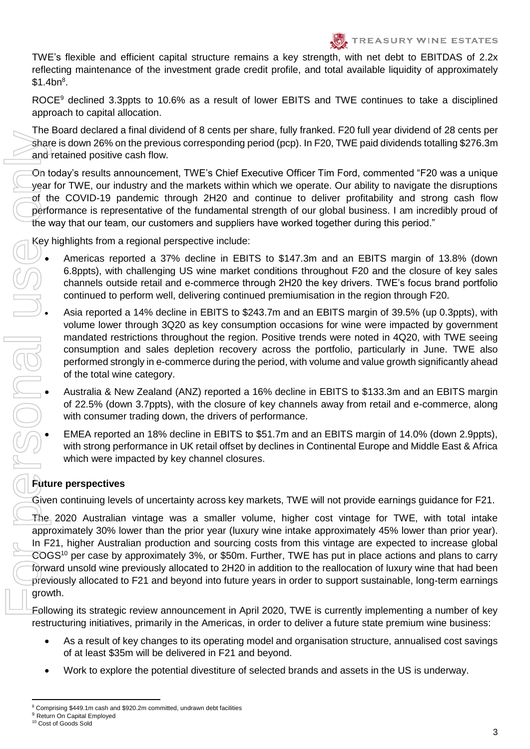TWE's flexible and efficient capital structure remains a key strength, with net debt to EBITDAS of 2.2x reflecting maintenance of the investment grade credit profile, and total available liquidity of approximately  $$1.4bn<sup>8</sup>$ .

ROCE<sup>9</sup> declined 3.3ppts to 10.6% as a result of lower EBITS and TWE continues to take a disciplined approach to capital allocation.

The Board declared a final dividend of 8 cents per share, fully franked. F20 full year dividend of 28 cents per share is down 26% on the previous corresponding period (pcp). In F20, TWE paid dividends totalling \$276.3m and retained positive cash flow.

On today's results announcement, TWE's Chief Executive Officer Tim Ford, commented "F20 was a unique year for TWE, our industry and the markets within which we operate. Our ability to navigate the disruptions of the COVID-19 pandemic through 2H20 and continue to deliver profitability and strong cash flow performance is representative of the fundamental strength of our global business. I am incredibly proud of the way that our team, our customers and suppliers have worked together during this period."

Key highlights from a regional perspective include:

- Americas reported a 37% decline in EBITS to \$147.3m and an EBITS margin of 13.8% (down 6.8ppts), with challenging US wine market conditions throughout F20 and the closure of key sales channels outside retail and e-commerce through 2H20 the key drivers. TWE's focus brand portfolio continued to perform well, delivering continued premiumisation in the region through F20.
- Asia reported a 14% decline in EBITS to \$243.7m and an EBITS margin of 39.5% (up 0.3ppts), with volume lower through 3Q20 as key consumption occasions for wine were impacted by government mandated restrictions throughout the region. Positive trends were noted in 4Q20, with TWE seeing consumption and sales depletion recovery across the portfolio, particularly in June. TWE also performed strongly in e-commerce during the period, with volume and value growth significantly ahead of the total wine category.
- Australia & New Zealand (ANZ) reported a 16% decline in EBITS to \$133.3m and an EBITS margin of 22.5% (down 3.7ppts), with the closure of key channels away from retail and e-commerce, along with consumer trading down, the drivers of performance.
- EMEA reported an 18% decline in EBITS to \$51.7m and an EBITS margin of 14.0% (down 2.9ppts), with strong performance in UK retail offset by declines in Continental Europe and Middle East & Africa which were impacted by key channel closures.

# **Future perspectives**

Given continuing levels of uncertainty across key markets, TWE will not provide earnings guidance for F21.

The 2020 Australian vintage was a smaller volume, higher cost vintage for TWE, with total intake approximately 30% lower than the prior year (luxury wine intake approximately 45% lower than prior year). In F21, higher Australian production and sourcing costs from this vintage are expected to increase global COGS<sup>10</sup> per case by approximately 3%, or \$50m. Further, TWE has put in place actions and plans to carry forward unsold wine previously allocated to 2H20 in addition to the reallocation of luxury wine that had been previously allocated to F21 and beyond into future years in order to support sustainable, long-term earnings growth.

Following its strategic review announcement in April 2020, TWE is currently implementing a number of key restructuring initiatives, primarily in the Americas, in order to deliver a future state premium wine business:

- As a result of key changes to its operating model and organisation structure, annualised cost savings of at least \$35m will be delivered in F21 and beyond.
- Work to explore the potential divestiture of selected brands and assets in the US is underway.

3

**<sup>.</sup>** <sup>8</sup> Comprising \$449.1m cash and \$920.2m committed, undrawn debt facilities

<sup>&</sup>lt;sup>9</sup> Return On Capital Employed<br><sup>10</sup> Cost of Goods Sold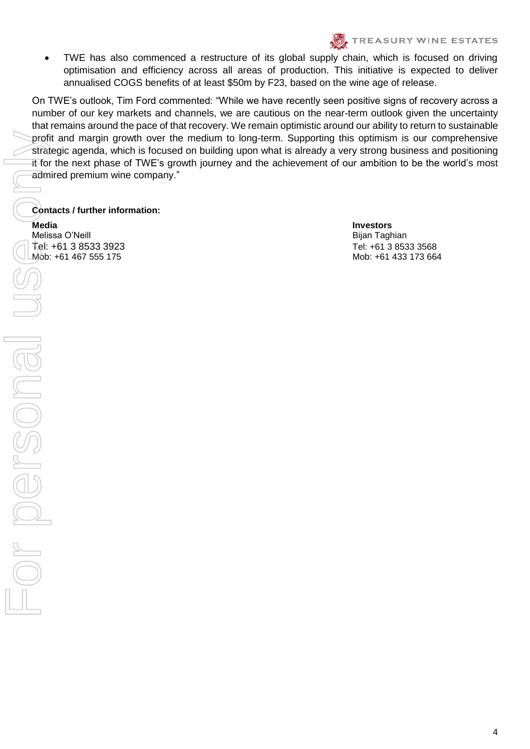• TWE has also commenced a restructure of its global supply chain, which is focused on driving optimisation and efficiency across all areas of production. This initiative is expected to deliver annualised COGS benefits of at least \$50m by F23, based on the wine age of release.

On TWE's outlook, Tim Ford commented: "While we have recently seen positive signs of recovery across a number of our key markets and channels, we are cautious on the near-term outlook given the uncertainty that remains around the pace of that recovery. We remain optimistic around our ability to return to sustainable profit and margin growth over the medium to long-term. Supporting this optimism is our comprehensive strategic agenda, which is focused on building upon what is already a very strong business and positioning it for the next phase of TWE's growth journey and the achievement of our ambition to be the world's most admired premium wine company."

# **Contacts / further information:**

**Media Investors**  Melissa O'Neill Bijan Taghian Bijan Taghian Bijan Taghian Bijan Taghian Bijan Taghian Bijan Taghian Bijan Taghian Tel: +61 3 8533 3923 Tel: +61 3 8533 3568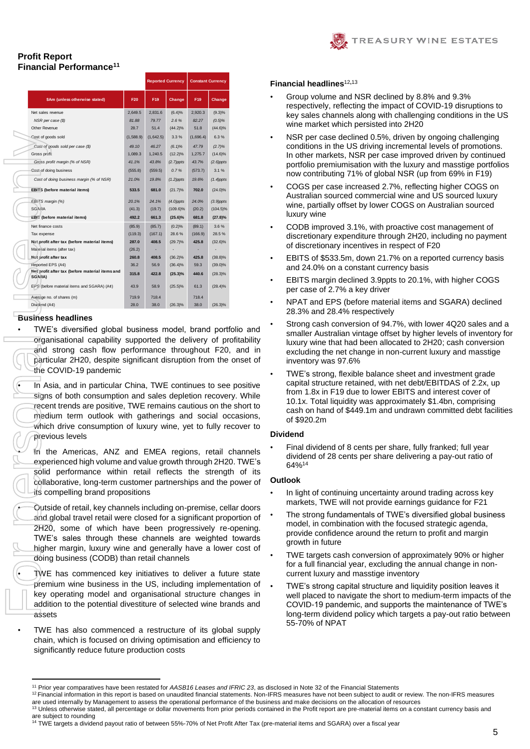

# **Profit Report Financial Performance<sup>11</sup>**

|                                                                                                                                                                                                                                                                                                                                        |                  |                  | <b>Reported Currency</b>   | <b>Constant Currency</b> |                            |
|----------------------------------------------------------------------------------------------------------------------------------------------------------------------------------------------------------------------------------------------------------------------------------------------------------------------------------------|------------------|------------------|----------------------------|--------------------------|----------------------------|
| \$Am (unless otherwise stated)                                                                                                                                                                                                                                                                                                         | F20              | F19              | <b>Change</b>              | F19                      | <b>Change</b>              |
| Net sales revenue                                                                                                                                                                                                                                                                                                                      | 2,649.5          | 2,831.6          | (6.4)%                     | 2,920.3                  | (9.3)%                     |
| NSR per case (\$)                                                                                                                                                                                                                                                                                                                      | 81.88            | 79.77            | 2.6%                       | 82.27                    | (0.5)%                     |
| Other Revenue                                                                                                                                                                                                                                                                                                                          | 28.7             | 51.4             | $(44.2)\%$                 | 51.8                     | $(44.6)\%$                 |
| Cost of goods sold                                                                                                                                                                                                                                                                                                                     | (1,588.9)        | (1,642.5)        | 3.3%                       | (1,696.4)                | 6.3%                       |
| Cost of goods sold per case (\$)                                                                                                                                                                                                                                                                                                       | 49.10            | 46.27            | $(6.1)\%$                  | 47.79                    | (2.7)%                     |
| Gross profit<br>Gross profit margin (% of NSR)                                                                                                                                                                                                                                                                                         | 1,089.3<br>41.1% | 1,240.5<br>43.8% | $(12.2)\%$<br>$(2.7)$ ppts | 1,275.7<br>43.7%         | $(14.6)\%$<br>$(2.6)$ ppts |
| Cost of doing business                                                                                                                                                                                                                                                                                                                 | (555.8)          | (559.5)          | 0.7%                       | (573.7)                  | 3.1%                       |
| Cost of doing business margin (% of NSR)                                                                                                                                                                                                                                                                                               | 21.0%            | 19.8%            | $(1.2)$ ppts               | 19.6%                    | $(1.4)$ ppts               |
| EBITS (before material items)                                                                                                                                                                                                                                                                                                          | 533.5            | 681.0            | (21.7)%                    | 702.0                    | $(24.0)\%$                 |
| EBITS margin (%)                                                                                                                                                                                                                                                                                                                       | 20.1%            | 24.1%            | $(4.0)$ ppts               | 24.0%                    | $(3.9)$ ppts               |
| <b>SGARA</b>                                                                                                                                                                                                                                                                                                                           | (41.3)           | (19.7)           | $(109.6)\%$                | (20.2)                   | $(104.5)\%$                |
| EBIT (before material items)                                                                                                                                                                                                                                                                                                           | 492.2            | 661.3            | $(25.6)\%$                 | 681.8                    | (27.8)%                    |
| Net finance costs                                                                                                                                                                                                                                                                                                                      | (85.9)           | (85.7)           | (0.2)%                     | (89.1)                   | 3.6%                       |
| Tax expense                                                                                                                                                                                                                                                                                                                            | (119.3)          | (167.1)          | 28.6%                      | (166.9)                  | 28.5%                      |
| Net profit after tax (before material items)                                                                                                                                                                                                                                                                                           | 287.0            | 408.5            | (29.7)%                    | 425.8                    | $(32.6)\%$                 |
| Malerial items (after tax)                                                                                                                                                                                                                                                                                                             | (26.2)           |                  |                            |                          |                            |
| Net profit after tax                                                                                                                                                                                                                                                                                                                   | 260.8            | 408.5            | $(36.2)\%$                 | 425.8                    | $(38.8)\%$                 |
| Reported EPS (A¢)                                                                                                                                                                                                                                                                                                                      | 36.2             | 56.9             | $(36.4)\%$                 | 59.3                     | $(39.0)\%$                 |
| Net profit after tax (before material items and<br>SGARA)                                                                                                                                                                                                                                                                              | 315.8            | 422.8            | $(25.3)\%$                 | 440.6                    | $(28.3)\%$                 |
| EPS (before material items and SGARA) (A¢)                                                                                                                                                                                                                                                                                             | 43.9             | 58.9             | $(25.5)\%$                 | 61.3                     | (28.4)%                    |
| Average no. of shares (m)                                                                                                                                                                                                                                                                                                              | 719.9            | 718.4            |                            | 718.4                    |                            |
| Dividend (A¢)                                                                                                                                                                                                                                                                                                                          | 28.0             | 38.0             | $(26.3)\%$                 | 38.0                     | $(26.3)\%$                 |
| In Asia, and in particular China, TWE continues to see<br>signs of both consumption and sales depletion recover<br>recent trends are positive, TWE remains cautious on the<br>medium term outlook with gatherings and social oc<br>which drive consumption of luxury wine, yet to fully re<br>previous levels                          |                  |                  |                            |                          |                            |
| Чń.<br>the Americas, ANZ and EMEA regions, retail of<br>experienced high volume and value growth through 2H20<br>solid<br>performance within retail reflects the strengtl<br>collaborative, long-term customer partnerships and the p<br>its compelling brand propositions                                                             |                  |                  |                            |                          |                            |
|                                                                                                                                                                                                                                                                                                                                        |                  |                  |                            |                          |                            |
| Outside of retail, key channels including on-premise, cell<br>and global travel retail were closed for a significant prop<br>2H20, some of which have been progressively re-<br>TWE's sales through these channels are weighted<br>higher margin, luxury wine and generally have a lower<br>doing business (CODB) than retail channels |                  |                  |                            |                          |                            |

# **Business headlines**

 $\overline{a}$ 

• TWE's diversified global business model, brand portfolio and organisational capability supported the delivery of profitability and strong cash flow performance throughout F20, and in particular 2H20, despite significant disruption from the onset of the COVID-19 pandemic

In Asia, and in particular China, TWE continues to see positive signs of both consumption and sales depletion recovery. While recent trends are positive, TWE remains cautious on the short to medium term outlook with gatherings and social occasions, which drive consumption of luxury wine, yet to fully recover to previous levels

• In the Americas, ANZ and EMEA regions, retail channels experienced high volume and value growth through 2H20. TWE's solid performance within retail reflects the strength of its collaborative, long-term customer partnerships and the power of its compelling brand propositions

• Outside of retail, key channels including on-premise, cellar doors and global travel retail were closed for a significant proportion of 2H20, some of which have been progressively re-opening. TWE's sales through these channels are weighted towards higher margin, luxury wine and generally have a lower cost of doing business (CODB) than retail channels

TWE has commenced key initiatives to deliver a future state premium wine business in the US, including implementation of key operating model and organisational structure changes in addition to the potential divestiture of selected wine brands and assets

• TWE has also commenced a restructure of its global supply chain, which is focused on driving optimisation and efficiency to significantly reduce future production costs

### **Financial headlines**<sup>12</sup>**,**<sup>13</sup>

- Group volume and NSR declined by 8.8% and 9.3% respectively, reflecting the impact of COVID-19 disruptions to key sales channels along with challenging conditions in the US wine market which persisted into 2H20
- NSR per case declined 0.5%, driven by ongoing challenging conditions in the US driving incremental levels of promotions. In other markets, NSR per case improved driven by continued portfolio premiumisation with the luxury and masstige portfolios now contributing 71% of global NSR (up from 69% in F19)
- COGS per case increased 2.7%, reflecting higher COGS on Australian sourced commercial wine and US sourced luxury wine, partially offset by lower COGS on Australian sourced luxury wine
- CODB improved 3.1%, with proactive cost management of discretionary expenditure through 2H20, including no payment of discretionary incentives in respect of F20
- EBITS of \$533.5m, down 21.7% on a reported currency basis and 24.0% on a constant currency basis
- EBITS margin declined 3.9ppts to 20.1%, with higher COGS per case of 2.7% a key driver
- NPAT and EPS (before material items and SGARA) declined 28.3% and 28.4% respectively
- Strong cash conversion of 94.7%, with lower 4Q20 sales and a smaller Australian vintage offset by higher levels of inventory for luxury wine that had been allocated to 2H20; cash conversion excluding the net change in non-current luxury and masstige inventory was 97.6%
- TWE's strong, flexible balance sheet and investment grade capital structure retained, with net debt/EBITDAS of 2.2x, up from 1.8x in F19 due to lower EBITS and interest cover of 10.1x. Total liquidity was approximately \$1.4bn, comprising cash on hand of \$449.1m and undrawn committed debt facilities of \$920.2m

#### **Dividend**

• Final dividend of 8 cents per share, fully franked; full year dividend of 28 cents per share delivering a pay-out ratio of 64%<sup>14</sup>

### **Outlook**

- In light of continuing uncertainty around trading across key markets, TWE will not provide earnings guidance for F21
- The strong fundamentals of TWE's diversified global business model, in combination with the focused strategic agenda, provide confidence around the return to profit and margin growth in future
- TWE targets cash conversion of approximately 90% or higher for a full financial year, excluding the annual change in noncurrent luxury and masstige inventory
- TWE's strong capital structure and liquidity position leaves it well placed to navigate the short to medium-term impacts of the COVID-19 pandemic, and supports the maintenance of TWE's long-term dividend policy which targets a pay-out ratio between 55-70% of NPAT

<sup>11</sup> Prior year comparatives have been restated for *AASB16 Leases and IFRIC 23*, as disclosed in Note 32 of the Financial Statements

<sup>12</sup> Financial information in this report is based on unaudited financial statements. Non-IFRS measures have not been subject to audit or review. The non-IFRS measures

are used internally by Management to assess the operational performance of the business and make decisions on the allocation of resources<br><sup>13</sup> Unless otherwise stated, all percentage or dollar movements from prior periods are subject to rounding

<sup>&</sup>lt;sup>14</sup> TWE targets a dividend payout ratio of between 55%-70% of Net Profit After Tax (pre-material items and SGARA) over a fiscal year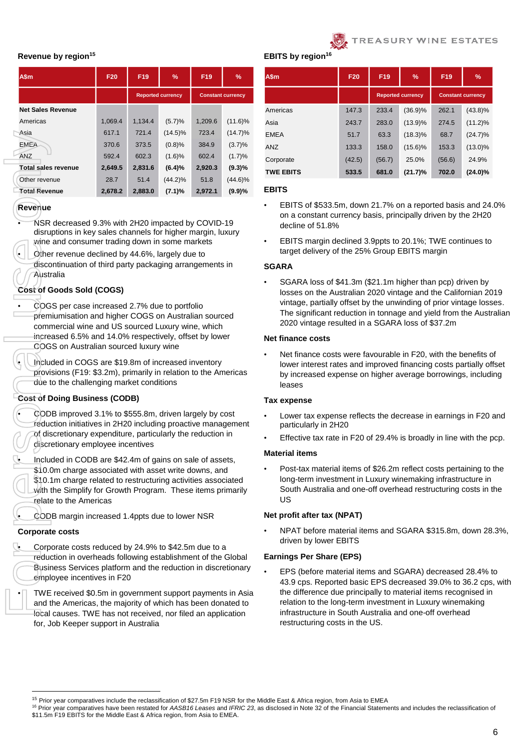

### **Revenue by region<sup>15</sup>**

| A\$m                                                                                                                                                                                                                                                                                                                        | F <sub>20</sub>                                                                                     | F19     | %                        | F <sub>19</sub>          | %          |  |  |  |  |  |  |  |  |
|-----------------------------------------------------------------------------------------------------------------------------------------------------------------------------------------------------------------------------------------------------------------------------------------------------------------------------|-----------------------------------------------------------------------------------------------------|---------|--------------------------|--------------------------|------------|--|--|--|--|--|--|--|--|
|                                                                                                                                                                                                                                                                                                                             |                                                                                                     |         | <b>Reported currency</b> | <b>Constant currency</b> |            |  |  |  |  |  |  |  |  |
| <b>Net Sales Revenue</b>                                                                                                                                                                                                                                                                                                    |                                                                                                     |         |                          |                          |            |  |  |  |  |  |  |  |  |
| Americas                                                                                                                                                                                                                                                                                                                    | 1,069.4                                                                                             | 1,134.4 | (5.7)%                   | 1,209.6                  | $(11.6)\%$ |  |  |  |  |  |  |  |  |
| Asia                                                                                                                                                                                                                                                                                                                        | 617.1                                                                                               | 721.4   | $(14.5)\%$               | 723.4                    | $(14.7)\%$ |  |  |  |  |  |  |  |  |
| <b>EMEA</b>                                                                                                                                                                                                                                                                                                                 | 370.6                                                                                               | 373.5   | (0.8)%                   | 384.9                    | (3.7)%     |  |  |  |  |  |  |  |  |
| <b>ANZ</b>                                                                                                                                                                                                                                                                                                                  | 602.3<br>(1.7)%<br>592.4<br>(1.6)%<br>602.4<br>$(9.3)\%$<br>2,649.5<br>2,831.6<br>(6.4)%<br>2,920.3 |         |                          |                          |            |  |  |  |  |  |  |  |  |
| <b>Total sales revenue</b>                                                                                                                                                                                                                                                                                                  | 28.7<br>51.4<br>51.8<br>$(44.2)\%$                                                                  |         |                          |                          |            |  |  |  |  |  |  |  |  |
| Other revenue                                                                                                                                                                                                                                                                                                               |                                                                                                     |         |                          |                          | $(44.6)\%$ |  |  |  |  |  |  |  |  |
| <b>Total Revenue</b>                                                                                                                                                                                                                                                                                                        | 2,678.2                                                                                             | 2,883.0 | (7.1)%                   | 2,972.1                  | (9.9)%     |  |  |  |  |  |  |  |  |
| NSR decreased 9.3% with 2H20 impacted by COVID-19<br>disruptions in key sales channels for higher margin, luxury<br>wine and consumer trading down in some markets<br>Other revenue declined by 44.6%, largely due to<br>discontinuation of third party packaging arrangements in<br>Australia<br>Cost of Goods Sold (COGS) |                                                                                                     |         |                          |                          |            |  |  |  |  |  |  |  |  |
| commercial wine and US sourced Luxury wine, which<br>increased 6.5% and 14.0% respectively, offset by lower<br>COGS on Australian sourced luxury wine<br>Included in COGS are \$19.8m of increased inventory<br>provisions (F19: \$3.2m), primarily in relation to the Americas<br>due to the challenging market conditions |                                                                                                     |         |                          |                          |            |  |  |  |  |  |  |  |  |
| Cost of Doing Business (CODB)                                                                                                                                                                                                                                                                                               |                                                                                                     |         |                          |                          |            |  |  |  |  |  |  |  |  |
| CODB improved 3.1% to \$555.8m, driven largely by cost<br>reduction initiatives in 2H20 including proactive management<br>of discretionary expenditure, particularly the reduction in<br>discretionary employee incentives                                                                                                  |                                                                                                     |         |                          |                          |            |  |  |  |  |  |  |  |  |
| Included in CODB are \$42.4m of gains on sale of assets,<br>\$10.0m charge associated with asset write downs, and<br>\$10.1m charge related to restructuring activities associated<br>with the Simplify for Growth Program. These items primarily<br>relate to the Americas                                                 |                                                                                                     |         |                          |                          |            |  |  |  |  |  |  |  |  |
| CODB margin increased 1.4ppts due to lower NSR                                                                                                                                                                                                                                                                              |                                                                                                     |         |                          |                          |            |  |  |  |  |  |  |  |  |
| <b>Corporate costs</b>                                                                                                                                                                                                                                                                                                      |                                                                                                     |         |                          |                          |            |  |  |  |  |  |  |  |  |
| Corporate costs reduced by 24.9% to \$42.5m due to a<br>reduction in overheads following establishment of the Global<br>Business Services platform and the reduction in discretionary<br>employee incentives in F20                                                                                                         |                                                                                                     |         |                          |                          |            |  |  |  |  |  |  |  |  |
| TWE received \$0.5m in government support payments in Asia<br>and the Americas, the majority of which has been donated to<br>local causes. TWE bas not received nor filed an application                                                                                                                                    |                                                                                                     |         |                          |                          |            |  |  |  |  |  |  |  |  |

# **Revenue**

- NSR decreased 9.3% with 2H20 impacted by COVID-19 disruptions in key sales channels for higher margin, luxury wine and consumer trading down in some markets
- Other revenue declined by 44.6%, largely due to
- discontinuation of third party packaging arrangements in **Australia**

# **Cost of Goods Sold (COGS)**

- COGS per case increased 2.7% due to portfolio premiumisation and higher COGS on Australian sourced commercial wine and US sourced Luxury wine, which increased 6.5% and 14.0% respectively, offset by lower COGS on Australian sourced luxury wine
- Included in COGS are \$19.8m of increased inventory provisions (F19: \$3.2m), primarily in relation to the Americas due to the challenging market conditions

# **Cost of Doing Business (CODB)**

# **Corporate costs**

• TWE received \$0.5m in government support payments in Asia and the Americas, the majority of which has been donated to local causes. TWE has not received, nor filed an application for, Job Keeper support in Australia

**EBITS** by region

| A\$m             | F20    | F <sub>19</sub>                                      | $\%$       | F <sub>19</sub> | $\%$       |
|------------------|--------|------------------------------------------------------|------------|-----------------|------------|
|                  |        | <b>Reported currency</b><br><b>Constant currency</b> |            |                 |            |
| Americas         | 147.3  | 233.4                                                | $(36.9)\%$ | 262.1           | $(43.8)\%$ |
| Asia             | 243.7  | 283.0                                                | $(13.9)\%$ | 274.5           | $(11.2)\%$ |
| <b>EMEA</b>      | 51.7   | 63.3                                                 | $(18.3)\%$ | 68.7            | $(24.7)\%$ |
| ANZ              | 133.3  | 158.0                                                | $(15.6)\%$ | 153.3           | $(13.0)\%$ |
| Corporate        | (42.5) | (56.7)                                               | 25.0%      | (56.6)          | 24.9%      |
| <b>TWE EBITS</b> | 533.5  | 681.0                                                | (21.7)%    | 702.0           | $(24.0)\%$ |

### **EBITS**

- EBITS of \$533.5m, down 21.7% on a reported basis and 24.0% on a constant currency basis, principally driven by the 2H20 decline of 51.8%
- EBITS margin declined 3.9ppts to 20.1%; TWE continues to target delivery of the 25% Group EBITS margin

## **SGARA**

• SGARA loss of \$41.3m (\$21.1m higher than pcp) driven by losses on the Australian 2020 vintage and the Californian 2019 vintage, partially offset by the unwinding of prior vintage losses. The significant reduction in tonnage and yield from the Australian 2020 vintage resulted in a SGARA loss of \$37.2m

### **Net finance costs**

Net finance costs were favourable in F20, with the benefits of lower interest rates and improved financing costs partially offset by increased expense on higher average borrowings, including leases

### **Tax expense**

- Lower tax expense reflects the decrease in earnings in F20 and particularly in 2H20
- Effective tax rate in F20 of 29.4% is broadly in line with the pcp.

### **Material items**

• Post-tax material items of \$26.2m reflect costs pertaining to the long-term investment in Luxury winemaking infrastructure in South Australia and one-off overhead restructuring costs in the US

### **Net profit after tax (NPAT)**

• NPAT before material items and SGARA \$315.8m, down 28.3%, driven by lower EBITS

### **Earnings Per Share (EPS)**

• EPS (before material items and SGARA) decreased 28.4% to 43.9 cps. Reported basic EPS decreased 39.0% to 36.2 cps, with the difference due principally to material items recognised in relation to the long-term investment in Luxury winemaking infrastructure in South Australia and one-off overhead restructuring costs in the US.

<sup>1</sup> <sup>15</sup> Prior year comparatives include the reclassification of \$27.5m F19 NSR for the Middle East & Africa region, from Asia to EMEA

<sup>16</sup> Prior year comparatives have been restated for *AASB16 Leases* and *IFRIC 23*, as disclosed in Note 32 of the Financial Statements and includes the reclassification of \$11.5m F19 EBITS for the Middle East & Africa region, from Asia to EMEA.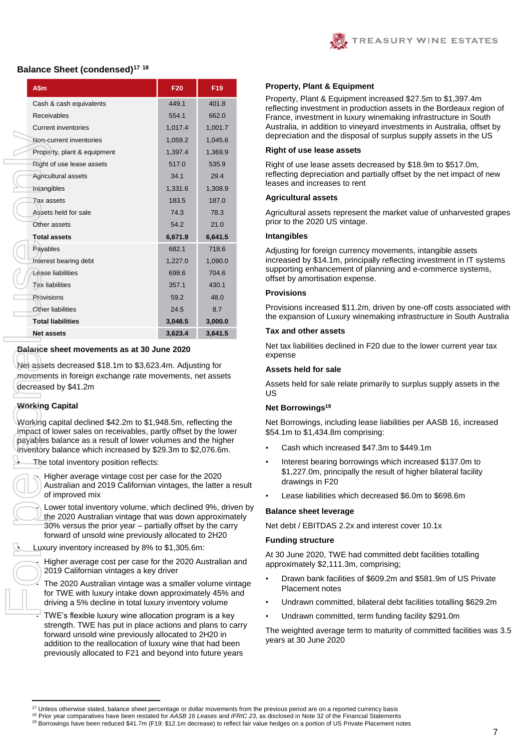

### **Balance Sheet (condensed)<sup>17</sup> <sup>18</sup>**

| A\$m                                                                                                                                                                                                                                             | F20     | F19     |
|--------------------------------------------------------------------------------------------------------------------------------------------------------------------------------------------------------------------------------------------------|---------|---------|
| Cash & cash equivalents                                                                                                                                                                                                                          | 449.1   | 401.8   |
| Receivables                                                                                                                                                                                                                                      | 554.1   | 662.0   |
| Current inventories                                                                                                                                                                                                                              | 1,017.4 | 1,001.7 |
| Non-current inventories                                                                                                                                                                                                                          | 1,059.2 | 1,045.6 |
| Property, plant & equipment                                                                                                                                                                                                                      | 1,397.4 | 1,369.9 |
| Right of use lease assets                                                                                                                                                                                                                        | 517.0   | 535.9   |
| Agricultural assets                                                                                                                                                                                                                              | 34.1    | 29.4    |
| Intangibles                                                                                                                                                                                                                                      | 1,331.6 | 1,308.9 |
| Tax assets                                                                                                                                                                                                                                       | 183.5   | 187.0   |
| Assets held for sale                                                                                                                                                                                                                             | 74.3    | 78.3    |
| Other assets                                                                                                                                                                                                                                     | 54.2    | 21.0    |
| <b>Total assets</b>                                                                                                                                                                                                                              | 6,671.9 | 6,641.5 |
| Payables                                                                                                                                                                                                                                         | 682.1   | 718.6   |
| Interest bearing debt                                                                                                                                                                                                                            | 1,227.0 | 1,090.0 |
| Lease liabilities                                                                                                                                                                                                                                | 698.6   | 704.6   |
| <b>Tax liabilities</b>                                                                                                                                                                                                                           | 357.1   | 430.1   |
| Provisions                                                                                                                                                                                                                                       | 59.2    | 48.0    |
| Other liabilities                                                                                                                                                                                                                                | 24.5    | 8.7     |
| <b>Total liabilities</b>                                                                                                                                                                                                                         | 3,048.5 | 3,000.0 |
| <b>Net assets</b>                                                                                                                                                                                                                                | 3,623.4 | 3,641.5 |
| movements in foreign exchange rate movements, net assets<br>decreased by \$41.2m<br><b>Working Capital</b><br>Working capital declined \$42.2m to \$1,948.5m, reflecting the<br>impact of lower sales on receivables, partly offset by the lower |         |         |
| payables balance as a result of lower volumes and the higher<br>inventory balance which increased by \$29.3m to \$2,076.6m.<br>The total inventory position reflects:                                                                            |         |         |
| Higher average vintage cost per case for the 2020<br>Australian and 2019 Californian vintages, the latter a re<br>of improved mix                                                                                                                |         |         |
| Lower total inventory volume, which declined 9%, drive<br>the 2020 Australian vintage that was down approximate<br>$30\%$ versus the prior year – partially offset by the carry<br>forward of unsold wine previously allocated to 2H20           |         |         |
| Luxury inventory increased by 8% to \$1,305.6m:                                                                                                                                                                                                  |         |         |
| Higher average cost per case for the 2020 Australian ar<br>2019 Californian vintages a key driver                                                                                                                                                |         |         |
| The 2020 Australian vintage was a smaller volume vinta<br>for TWE with luxury intake down approximately 45% an<br>driving a 5% decline in total luxury inventory volume                                                                          |         |         |

### **Balance sheet movements as at 30 June 2020**

# **Working Capital**

Higher average vintage cost per case for the 2020 Australian and 2019 Californian vintages, the latter a result of improved mix

Lower total inventory volume, which declined 9%, driven by the 2020 Australian vintage that was down approximately 30% versus the prior year – partially offset by the carry forward of unsold wine previously allocated to 2H20

The 2020 Australian vintage was a smaller volume vintage for TWE with luxury intake down approximately 45% and driving a 5% decline in total luxury inventory volume

TWE's flexible luxury wine allocation program is a key strength. TWE has put in place actions and plans to carry forward unsold wine previously allocated to 2H20 in addition to the reallocation of luxury wine that had been previously allocated to F21 and beyond into future years

#### **Property, Plant & Equipment**

Property, Plant & Equipment increased \$27.5m to \$1,397.4m reflecting investment in production assets in the Bordeaux region of France, investment in luxury winemaking infrastructure in South Australia, in addition to vineyard investments in Australia, offset by depreciation and the disposal of surplus supply assets in the US

#### **Right of use lease assets**

Right of use lease assets decreased by \$18.9m to \$517.0m, reflecting depreciation and partially offset by the net impact of new leases and increases to rent

#### **Agricultural assets**

Agricultural assets represent the market value of unharvested grapes prior to the 2020 US vintage.

#### **Intangibles**

Adjusting for foreign currency movements, intangible assets increased by \$14.1m, principally reflecting investment in IT systems supporting enhancement of planning and e-commerce systems, offset by amortisation expense.

#### **Provisions**

Provisions increased \$11.2m, driven by one-off costs associated with the expansion of Luxury winemaking infrastructure in South Australia

#### **Tax and other assets**

Net tax liabilities declined in F20 due to the lower current year tax expense

#### **Assets held for sale**

Assets held for sale relate primarily to surplus supply assets in the US

### **Net Borrowings<sup>19</sup>**

Net Borrowings, including lease liabilities per AASB 16, increased \$54.1m to \$1,434.8m comprising:

- Cash which increased \$47.3m to \$449.1m
- Interest bearing borrowings which increased \$137.0m to \$1,227.0m, principally the result of higher bilateral facility drawings in F20
- Lease liabilities which decreased \$6.0m to \$698.6m

#### **Balance sheet leverage**

Net debt / EBITDAS 2.2x and interest cover 10.1x

#### **Funding structure**

At 30 June 2020, TWE had committed debt facilities totalling approximately \$2,111.3m, comprising;

- Drawn bank facilities of \$609.2m and \$581.9m of US Private Placement notes
- Undrawn committed, bilateral debt facilities totalling \$629.2m
- Undrawn committed, term funding facility \$291.0m

The weighted average term to maturity of committed facilities was 3.5 years at 30 June 2020

<sup>19</sup> Borrowings have been reduced \$41.7m (F19: \$12.1m decrease) to reflect fair value hedges on a portion of US Private Placement notes

**<sup>.</sup>**  $17$  Unless otherwise stated, balance sheet percentage or dollar movements from the previous period are on a reported currency basis

<sup>18</sup> Prior year comparatives have been restated for *AASB 16 Leases* and *IFRIC 23,* as disclosed in Note 32 of the Financial Statements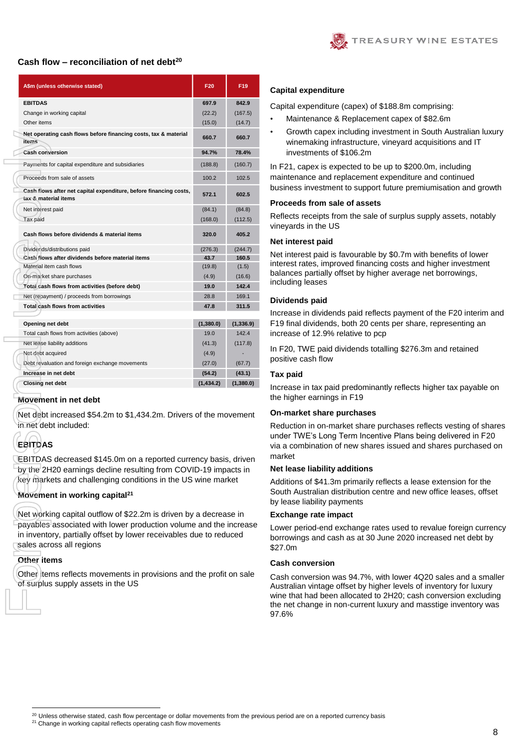

### **Cash flow – reconciliation of net debt<sup>20</sup>**

| A\$m (unless otherwise stated)                                                                                                                                                                               | F <sub>20</sub> | F <sub>19</sub> |
|--------------------------------------------------------------------------------------------------------------------------------------------------------------------------------------------------------------|-----------------|-----------------|
| <b>EBITDAS</b>                                                                                                                                                                                               | 697.9           | 842.9           |
| Change in working capital                                                                                                                                                                                    | (22.2)          | (167.5)         |
| Other items                                                                                                                                                                                                  | (15.0)          | (14.7)          |
| Net operating cash flows before financing costs, tax & material<br><b>items</b>                                                                                                                              | 660.7           | 660.7           |
| <b>Cash conversion</b>                                                                                                                                                                                       | 94.7%           | 78.4%           |
| Payments for capital expenditure and subsidiaries                                                                                                                                                            | (188.8)         | (160.7)         |
| Proceeds from sale of assets                                                                                                                                                                                 | 100.2           | 102.5           |
| Cash flows after net capital expenditure, before financing costs,<br>tax & material items                                                                                                                    | 572.1           | 602.5           |
| Net interest paid                                                                                                                                                                                            | (84.1)          | (84.8)          |
| Tax paid                                                                                                                                                                                                     | (168.0)         | (112.5)         |
| Cash flows before dividends & material items                                                                                                                                                                 | 320.0           | 405.2           |
| Dividends/distributions paid                                                                                                                                                                                 | (276.3)         | (244.7)         |
| Cash flows after dividends before material items                                                                                                                                                             | 43.7            | 160.5           |
| Material item cash flows                                                                                                                                                                                     | (19.8)          | (1.5)           |
| On-market share purchases                                                                                                                                                                                    | (4.9)           | (16.6)          |
| Total cash flows from activities (before debt)                                                                                                                                                               | 19.0            | 142.4           |
| Net (repayment) / proceeds from borrowings                                                                                                                                                                   | 28.8            | 169.1           |
| <b>Total cash flows from activities</b>                                                                                                                                                                      | 47.8            | 311.5           |
| Opening net debt                                                                                                                                                                                             | (1,380.0)       | (1,336.9)       |
| Total cash flows from activities (above)                                                                                                                                                                     | 19.0            | 142.4           |
| Net lease liability additions                                                                                                                                                                                | (41.3)          | (117.8)         |
| Net debt acquired                                                                                                                                                                                            | (4.9)           |                 |
| Debt revaluation and foreign exchange movements                                                                                                                                                              | (27.0)          | (67.7)          |
| Increase in net debt                                                                                                                                                                                         | (54.2)          | (43.1)          |
| <b>Closing net debt</b>                                                                                                                                                                                      | (1,434.2)       | (1,380.0)       |
| Movement in net debt                                                                                                                                                                                         |                 |                 |
| Net debt increased \$54.2m to \$1,434.2m. Drivers of the movement<br>in net debt included:                                                                                                                   |                 |                 |
| EBITDAS                                                                                                                                                                                                      |                 |                 |
| EBITDAS decreased \$145.0m on a reported currency basis, driven<br>by the 2H20 earnings decline resulting from COVID-19 impacts in<br>key markets and challenging conditions in the US wine market           |                 |                 |
| Movement in working capital <sup>21</sup>                                                                                                                                                                    |                 |                 |
| Net working capital outflow of \$22.2m is driven by a decrease in<br>payables associated with lower production volume and the increase<br>in inventory, partially offset by lower receivables due to reduced |                 |                 |
| sales across all regions<br>Other items                                                                                                                                                                      |                 |                 |

#### **Movement in net debt**

# **EBITDAS**

# **Movement in working capital<sup>21</sup>**

# **Other items**

1

#### **Capital expenditure**

Capital expenditure (capex) of \$188.8m comprising:

- Maintenance & Replacement capex of \$82.6m
- Growth capex including investment in South Australian luxury winemaking infrastructure, vineyard acquisitions and IT investments of \$106.2m

In F21, capex is expected to be up to \$200.0m, including maintenance and replacement expenditure and continued business investment to support future premiumisation and growth

#### **Proceeds from sale of assets**

Reflects receipts from the sale of surplus supply assets, notably vineyards in the US

#### **Net interest paid**

Net interest paid is favourable by \$0.7m with benefits of lower interest rates, improved financing costs and higher investment balances partially offset by higher average net borrowings, including leases

#### **Dividends paid**

Increase in dividends paid reflects payment of the F20 interim and F19 final dividends, both 20 cents per share, representing an increase of 12.9% relative to pcp

In F20, TWE paid dividends totalling \$276.3m and retained positive cash flow

### **Tax paid**

Increase in tax paid predominantly reflects higher tax payable on the higher earnings in F19

#### **On-market share purchases**

Reduction in on-market share purchases reflects vesting of shares under TWE's Long Term Incentive Plans being delivered in F20 via a combination of new shares issued and shares purchased on market

#### **Net lease liability additions**

Additions of \$41.3m primarily reflects a lease extension for the South Australian distribution centre and new office leases, offset by lease liability payments

#### **Exchange rate impact**

Lower period-end exchange rates used to revalue foreign currency borrowings and cash as at 30 June 2020 increased net debt by \$27.0m

#### **Cash conversion**

Cash conversion was 94.7%, with lower 4Q20 sales and a smaller Australian vintage offset by higher levels of inventory for luxury wine that had been allocated to 2H20; cash conversion excluding the net change in non-current luxury and masstige inventory was 97.6%

<sup>&</sup>lt;sup>20</sup> Unless otherwise stated, cash flow percentage or dollar movements from the previous period are on a reported currency basis

<sup>&</sup>lt;sup>21</sup> Change in working capital reflects operating cash flow movements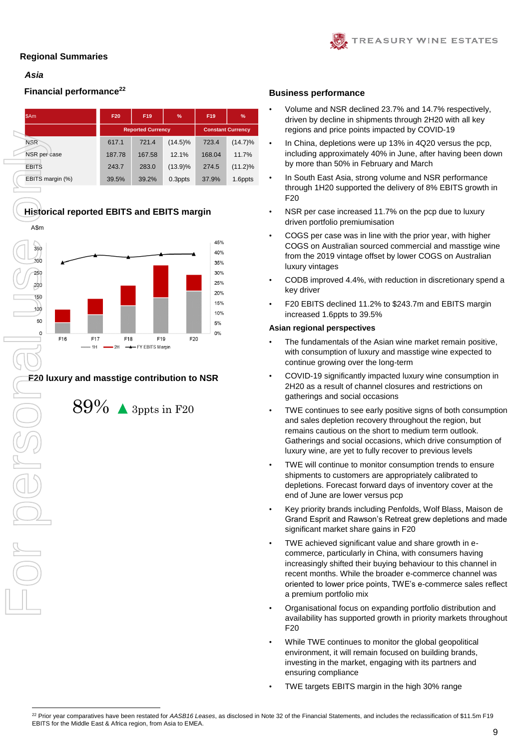# *Asia*

ļ

# **Financial performance**<sup>22</sup> **Business performance**

| <b>SAm</b>       | F20    | F19                      | $\frac{9}{6}$            |        |            |  |
|------------------|--------|--------------------------|--------------------------|--------|------------|--|
|                  |        | <b>Reported Currency</b> | <b>Constant Currency</b> |        |            |  |
| <b>NSR</b>       | 617.1  | 721.4                    | $(14.5)\%$               | 723.4  | $(14.7)\%$ |  |
| NSR per case     | 187.78 | 167.58                   | 12.1%                    | 168.04 | 11.7%      |  |
| <b>EBITS</b>     | 243.7  | 283.0                    | $(13.9)\%$               | 274.5  | $(11.2)\%$ |  |
| EBITS margin (%) | 39.5%  | 39.2%                    | 0.3ppts                  | 37.9%  | 1.6ppts    |  |

# **Historical reported EBITS and EBITS margin**



# **F20 luxury and masstige contribution to NSR**



• Volume and NSR declined 23.7% and 14.7% respectively, driven by decline in shipments through 2H20 with all key regions and price points impacted by COVID-19

TREASURY WINE ESTATES

- In China, depletions were up 13% in 4Q20 versus the pcp, including approximately 40% in June, after having been down by more than 50% in February and March
- In South East Asia, strong volume and NSR performance through 1H20 supported the delivery of 8% EBITS growth in F20
- NSR per case increased 11.7% on the pcp due to luxury driven portfolio premiumisation
- COGS per case was in line with the prior year, with higher COGS on Australian sourced commercial and masstige wine from the 2019 vintage offset by lower COGS on Australian luxury vintages
- CODB improved 4.4%, with reduction in discretionary spend a key driver
- F20 EBITS declined 11.2% to \$243.7m and EBITS margin increased 1.6ppts to 39.5%

#### **Asian regional perspectives**

- The fundamentals of the Asian wine market remain positive, with consumption of luxury and masstige wine expected to continue growing over the long-term
- COVID-19 significantly impacted luxury wine consumption in 2H20 as a result of channel closures and restrictions on gatherings and social occasions
- TWE continues to see early positive signs of both consumption and sales depletion recovery throughout the region, but remains cautious on the short to medium term outlook. Gatherings and social occasions, which drive consumption of luxury wine, are yet to fully recover to previous levels
- TWE will continue to monitor consumption trends to ensure shipments to customers are appropriately calibrated to depletions. Forecast forward days of inventory cover at the end of June are lower versus pcp
- Key priority brands including Penfolds, Wolf Blass, Maison de Grand Esprit and Rawson's Retreat grew depletions and made significant market share gains in F20
- TWE achieved significant value and share growth in ecommerce, particularly in China, with consumers having increasingly shifted their buying behaviour to this channel in recent months. While the broader e-commerce channel was oriented to lower price points, TWE's e-commerce sales reflect a premium portfolio mix
- Organisational focus on expanding portfolio distribution and availability has supported growth in priority markets throughout F20
- While TWE continues to monitor the global geopolitical environment, it will remain focused on building brands, investing in the market, engaging with its partners and ensuring compliance
- TWE targets EBITS margin in the high 30% range

1

<sup>22</sup> Prior year comparatives have been restated for *AASB16 Leases*, as disclosed in Note 32 of the Financial Statements, and includes the reclassification of \$11.5m F19 EBITS for the Middle East & Africa region, from Asia to EMEA.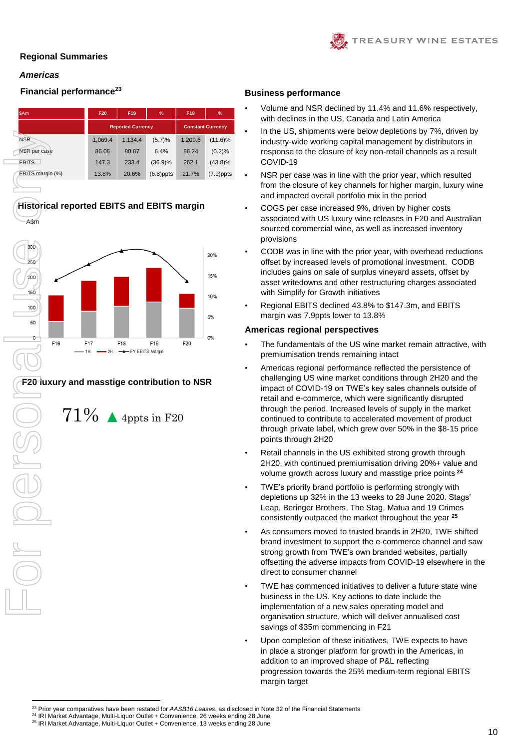# *Americas*

 $\Box$ 

# **Financial performance<sup>23</sup> Business performance**

| \$Am             | %<br>F19<br>F20 |                          |                          |         |              |  |  |  |
|------------------|-----------------|--------------------------|--------------------------|---------|--------------|--|--|--|
|                  |                 | <b>Reported Currency</b> | <b>Constant Currency</b> |         |              |  |  |  |
| <b>NSR</b>       | 1,069.4         | 1,134.4                  | (5.7)%                   | 1.209.6 | $(11.6)\%$   |  |  |  |
| NSR per case     | 86.06           | 80.87                    | 6.4%                     | 86.24   | (0.2)%       |  |  |  |
| <b>FRITS</b>     | 147.3           | 233.4                    | $(36.9)\%$               | 262.1   | $(43.8)\%$   |  |  |  |
| EBITS margin (%) | 13.8%           | 20.6%                    | $(6.8)$ ppts             | 21.7%   | $(7.9)$ ppts |  |  |  |



# **F20 luxury and masstige contribution to NSR**

 $71\%$   $\blacktriangle$  4ppts in F20

- Volume and NSR declined by 11.4% and 11.6% respectively, with declines in the US, Canada and Latin America
- In the US, shipments were below depletions by 7%, driven by industry-wide working capital management by distributors in response to the closure of key non-retail channels as a result COVID-19
- NSR per case was in line with the prior year, which resulted from the closure of key channels for higher margin, luxury wine and impacted overall portfolio mix in the period
- COGS per case increased 9%, driven by higher costs associated with US luxury wine releases in F20 and Australian sourced commercial wine, as well as increased inventory provisions
- CODB was in line with the prior year, with overhead reductions offset by increased levels of promotional investment. CODB includes gains on sale of surplus vineyard assets, offset by asset writedowns and other restructuring charges associated with Simplify for Growth initiatives
- Regional EBITS declined 43.8% to \$147.3m, and EBITS margin was 7.9ppts lower to 13.8%

## **Americas regional perspectives**

- The fundamentals of the US wine market remain attractive, with premiumisation trends remaining intact
- Americas regional performance reflected the persistence of challenging US wine market conditions through 2H20 and the impact of COVID-19 on TWE's key sales channels outside of retail and e-commerce, which were significantly disrupted through the period. Increased levels of supply in the market continued to contribute to accelerated movement of product through private label, which grew over 50% in the \$8-15 price points through 2H20
- Retail channels in the US exhibited strong growth through 2H20, with continued premiumisation driving 20%+ value and volume growth across luxury and masstige price points **<sup>24</sup>**
- TWE's priority brand portfolio is performing strongly with depletions up 32% in the 13 weeks to 28 June 2020. Stags' Leap, Beringer Brothers, The Stag, Matua and 19 Crimes consistently outpaced the market throughout the year **<sup>25</sup>**
- As consumers moved to trusted brands in 2H20, TWE shifted brand investment to support the e-commerce channel and saw strong growth from TWE's own branded websites, partially offsetting the adverse impacts from COVID-19 elsewhere in the direct to consumer channel
- TWE has commenced initiatives to deliver a future state wine business in the US. Key actions to date include the implementation of a new sales operating model and organisation structure, which will deliver annualised cost savings of \$35m commencing in F21
- Upon completion of these initiatives, TWE expects to have in place a stronger platform for growth in the Americas, in addition to an improved shape of P&L reflecting progression towards the 25% medium-term regional EBITS margin target



**<sup>.</sup>** <sup>23</sup> Prior year comparatives have been restated for *AASB16 Leases*, as disclosed in Note 32 of the Financial Statements

<sup>&</sup>lt;sup>24</sup> IRI Market Advantage, Multi-Liquor Outlet + Convenience, 26 weeks ending 28 June

<sup>&</sup>lt;sup>25</sup> IRI Market Advantage, Multi-Liquor Outlet + Convenience, 13 weeks ending 28 June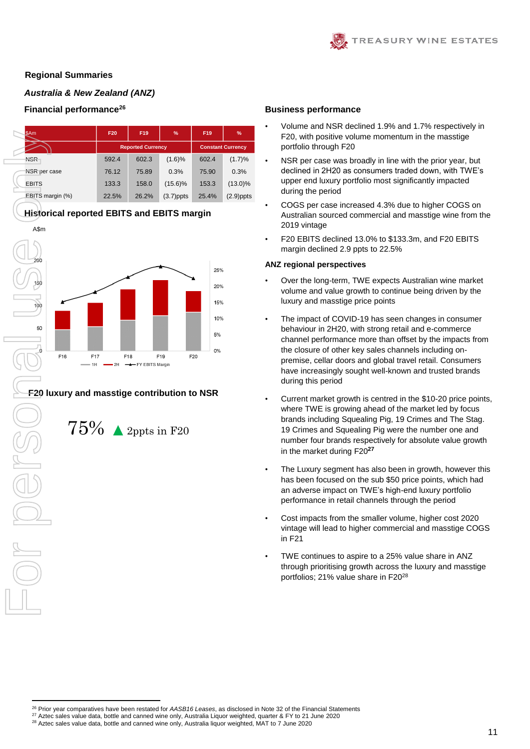# *Australia & New Zealand (ANZ)*

# **Financial performance<sup>26</sup> Business performance**

 $\Box$ 

| <b>SAm</b>       | F20   | F19                      | %                        | F19   | %            |  |
|------------------|-------|--------------------------|--------------------------|-------|--------------|--|
|                  |       | <b>Reported Currency</b> | <b>Constant Currency</b> |       |              |  |
| <b>NSR</b>       | 592.4 | 602.3                    | (1.6)%                   | 602.4 | (1.7)%       |  |
| NSR per case     | 76.12 | 75.89                    | 0.3%                     | 75.90 | 0.3%         |  |
| <b>EBITS</b>     | 133.3 | 158.0                    | $(15.6)\%$               | 153.3 | $(13.0)\%$   |  |
| EBITS margin (%) | 22.5% | 26.2%                    | $(3.7)$ ppts             | 25.4% | $(2.9)$ ppts |  |

# **Historical reported EBITS and EBITS margin**



# **F20 luxury and masstige contribution to NSR**



**.** 

- Volume and NSR declined 1.9% and 1.7% respectively in F20, with positive volume momentum in the masstige portfolio through F20
- NSR per case was broadly in line with the prior year, but declined in 2H20 as consumers traded down, with TWE's upper end luxury portfolio most significantly impacted during the period
- COGS per case increased 4.3% due to higher COGS on Australian sourced commercial and masstige wine from the 2019 vintage
- F20 EBITS declined 13.0% to \$133.3m, and F20 EBITS margin declined 2.9 ppts to 22.5%

#### **ANZ regional perspectives**

- Over the long-term, TWE expects Australian wine market volume and value growth to continue being driven by the luxury and masstige price points
- The impact of COVID-19 has seen changes in consumer behaviour in 2H20, with strong retail and e-commerce channel performance more than offset by the impacts from the closure of other key sales channels including onpremise, cellar doors and global travel retail. Consumers have increasingly sought well-known and trusted brands during this period
- Current market growth is centred in the \$10-20 price points, where TWE is growing ahead of the market led by focus brands including Squealing Pig, 19 Crimes and The Stag. 19 Crimes and Squealing Pig were the number one and number four brands respectively for absolute value growth in the market during F20**<sup>27</sup>**
- The Luxury segment has also been in growth, however this has been focused on the sub \$50 price points, which had an adverse impact on TWE's high-end luxury portfolio performance in retail channels through the period
- Cost impacts from the smaller volume, higher cost 2020 vintage will lead to higher commercial and masstige COGS in F21
- TWE continues to aspire to a 25% value share in ANZ through prioritising growth across the luxury and masstige portfolios; 21% value share in F20<sup>28</sup>

<sup>28</sup> Aztec sales value data, bottle and canned wine only, Australia liquor weighted, MAT to 7 June 2020

<sup>26</sup> Prior year comparatives have been restated for *AASB16 Leases*, as disclosed in Note 32 of the Financial Statements

<sup>&</sup>lt;sup>27</sup> Aztec sales value data, bottle and canned wine only, Australia Liquor weighted, quarter & FY to 21 June 2020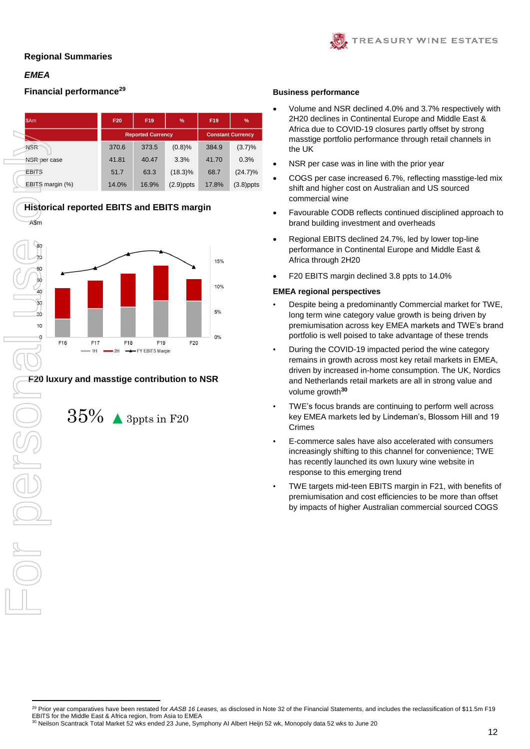# *EMEA*

A\$m

 $\Box$ 

# **Financial performance<sup>29</sup> Business performance**

| <b>SAm</b>       | F20<br>F19<br>% |                          |                          |       |              |  |  |
|------------------|-----------------|--------------------------|--------------------------|-------|--------------|--|--|
|                  |                 | <b>Reported Currency</b> | <b>Constant Currency</b> |       |              |  |  |
| <b>NSR</b>       | 370.6           | 373.5                    | (0.8)%                   | 384.9 | (3.7)%       |  |  |
| NSR per case     | 41.81           | 40.47                    | 3.3%                     | 41.70 | 0.3%         |  |  |
| <b>EBITS</b>     | 51.7            | 63.3                     | $(18.3)\%$               | 68.7  | $(24.7)\%$   |  |  |
| EBITS margin (%) | 14.0%           | 16.9%                    | $(2.9)$ ppts             | 17.8% | $(3.8)$ ppts |  |  |

**Historical reported EBITS and EBITS margin** l



# **F20 luxury and masstige contribution to NSR**



- Volume and NSR declined 4.0% and 3.7% respectively with 2H20 declines in Continental Europe and Middle East & Africa due to COVID-19 closures partly offset by strong masstige portfolio performance through retail channels in the UK
- NSR per case was in line with the prior year
- COGS per case increased 6.7%, reflecting masstige-led mix shift and higher cost on Australian and US sourced commercial wine
- Favourable CODB reflects continued disciplined approach to brand building investment and overheads
- Regional EBITS declined 24.7%, led by lower top-line performance in Continental Europe and Middle East & Africa through 2H20
- F20 EBITS margin declined 3.8 ppts to 14.0%

### **EMEA regional perspectives**

- Despite being a predominantly Commercial market for TWE, long term wine category value growth is being driven by premiumisation across key EMEA markets and TWE's brand portfolio is well poised to take advantage of these trends
- During the COVID-19 impacted period the wine category remains in growth across most key retail markets in EMEA, driven by increased in-home consumption. The UK, Nordics and Netherlands retail markets are all in strong value and volume growth**<sup>30</sup>**
- TWE's focus brands are continuing to perform well across key EMEA markets led by Lindeman's, Blossom Hill and 19 Crimes
- E-commerce sales have also accelerated with consumers increasingly shifting to this channel for convenience; TWE has recently launched its own luxury wine website in response to this emerging trend
- TWE targets mid-teen EBITS margin in F21, with benefits of premiumisation and cost efficiencies to be more than offset by impacts of higher Australian commercial sourced COGS

**<sup>.</sup>** <sup>29</sup> Prior year comparatives have been restated for *AASB 16 Leases,* as disclosed in Note 32 of the Financial Statements, and includes the reclassification of \$11.5m F19 EBITS for the Middle East & Africa region, from Asia to EMEA

<sup>30</sup> Neilson Scantrack Total Market 52 wks ended 23 June, Symphony AI Albert Heijn 52 wk, Monopoly data 52 wks to June 20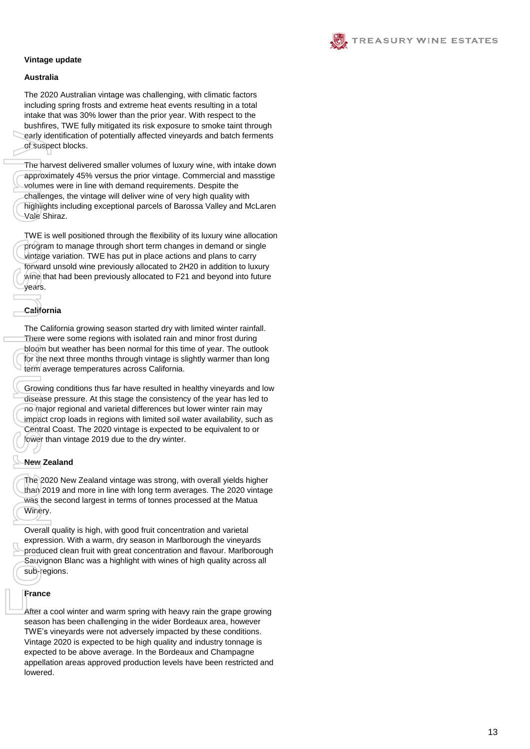

### **Vintage update**

#### **Australia**

The 2020 Australian vintage was challenging, with climatic factors including spring frosts and extreme heat events resulting in a total intake that was 30% lower than the prior year. With respect to the bushfires, TWE fully mitigated its risk exposure to smoke taint through early identification of potentially affected vineyards and batch ferments of suspect blocks.

The harvest delivered smaller volumes of luxury wine, with intake down approximately 4 5% versus the prior vintage. Commercial and masstige volumes were in line with demand requirements. Despite the challenges, the vintage will deliver wine of very high quality with highlights including exceptional parcels of Barossa Valley and McLaren Vale Shiraz.

TWE is well positioned through the flexibility of its luxury wine allocation program to manage through short term changes in demand or single vintage variation. TWE has put in place actions and plans to carry forward unsold wine previously allocated to 2H20 in addition to luxury wine that had been previously allocated to F21 and beyond into future years.

# **California**

The California growing season started dry with limited winter rainfall. There were some regions with isolated rain and minor frost during bloom but weather has been normal for this time of year. The outlook for the next three months through vintage is slightly warmer than long term average temperatures across California.

Growing conditions thus far have resulted in healthy vineyards and low disease pressure. At this stage the consistency of the year has led to no major regional and varietal differences but lower winter rain may impact crop loads in regions with limited soil water availability, such as Central Coast. The 2020 vintage is expected to be equivalent to or lower than vintage 2019 due to the dry winter.

## **New Zealand**

The 2020 New Zealand vintage was strong, with overall yields higher than 2019 and more in line with long term averages. The 2020 vintage was the second largest in terms of tonnes processed at the Matua Winery.

Overall quality is high, with good fruit concentration and varietal expression. With a warm, dry season in Marlborough the vineyards produced clean fruit with great concentration and flavour. Marlborough Sauvignon Blanc was a highlight with wines of high quality across all sub-regions.

### **France**

early ide<br>
of suspe<br>
The harvapproxim<br>
volumes<br>
challeng<br>
highlight<br>
Vale Shi<br>
TWE is v<br>
origin ight<br>
vale Shi<br>
TWE is v<br>
forward use of communities<br>
for the next<br>
vears.<br>
Californ<br>
The Californ<br>
The Californ<br>
The Californ After a cool winter and warm spring with heavy rain the grape growing season has been challenging in the wider Bordeaux area , however TWE's vineyards were not adversely impacted by these conditions. Vintage 2020 is expected to be high quality and industry tonnage is expected to be above average. In the Bordeaux and Champagne appellation areas approved production levels have been restricted and herewol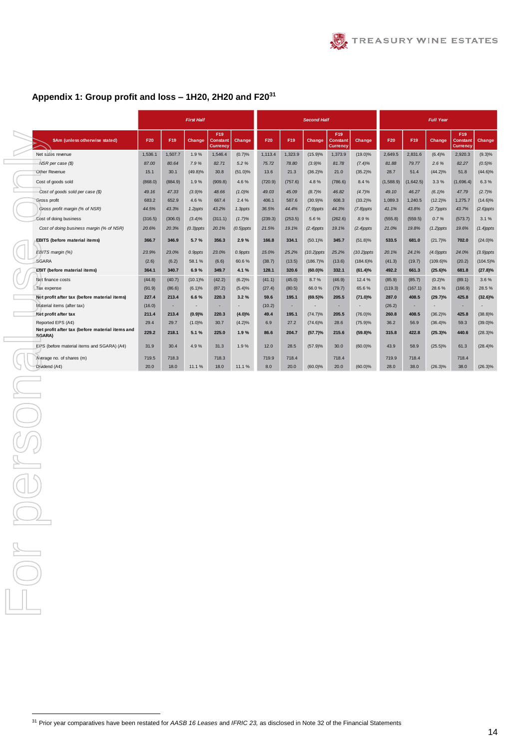# **Appendix 1: Group profit and loss – 1H20, 2H20 and F20<sup>31</sup>**

|  |                                                                    |         |         | <b>First Half</b> |                                    |              | <b>Second Half</b> |         |               |                                           |               | <b>Full Year</b> |           |              |                                           |              |  |
|--|--------------------------------------------------------------------|---------|---------|-------------------|------------------------------------|--------------|--------------------|---------|---------------|-------------------------------------------|---------------|------------------|-----------|--------------|-------------------------------------------|--------------|--|
|  | \$Am (unless otherwise stated)                                     | F20     | F19     | Change            | F19<br>Constant<br><b>Currency</b> | Change       | F20                | F19     | Change        | F19<br><b>Constant</b><br><b>Currency</b> | Change,       | F20              | F19       | Change       | F19<br><b>Constant</b><br><b>Currency</b> | Change       |  |
|  | Net sales revenue                                                  | 1,536.1 | 1.507.7 | 1.9%              | 1.546.4                            | (0.7)%       | 1,113.4            | 1,323.9 | (15.9)%       | 1,373.9                                   | $(19.0)\%$    | 2.649.5          | 2,831.6   | (6.4)%       | 2,920.3                                   | $(9.3)\%$    |  |
|  | NSR per case (\$)<br>Other Revenue                                 |         | 80.64   | 7.9%              | 82.71                              | 5.2 %        | 75.72              | 78.80   | $(3.9)\%$     | 81.78                                     | $(7.4)\%$     | 81.88            | 79.77     | 2.6%         | 82.27                                     | $(0.5)\%$    |  |
|  |                                                                    |         | 30.1    | $(49.8)\%$        | 30.8                               | $(51.0)\%$   | 13.6               | 21.3    | $(36.2)\%$    | 21.0                                      | $(35.2)\%$    | 28.7             | 51.4      | $(44.2)\%$   | 51.8                                      | $(44.6)\%$   |  |
|  | Cost of goods sold<br>Cost of goods sold per case (\$)             |         | (884.9) | 1.9%              | (909.8)                            | 4.6%         | (720.9)            | (757.6) | 4.8%          | (786.6)                                   | 8.4%          | (1,588.9)        | (1,642.5) | 3.3%         | (1,696.4)                                 | 6.3%         |  |
|  |                                                                    |         | 47.33   | $(3.9)\%$         | 48.66                              | $(1.0)\%$    | 49.03              | 45.09   | (8.7)%        | 46.82                                     | (4.7)%        | 49.10            | 46.27     | $(6.1)\%$    | 47.79                                     | (2.7)%       |  |
|  | Gross profit                                                       | 683.2   | 652.9   | 4.6%              | 667.4                              | 2.4%         | 406.1              | 587.6   | $(30.9)\%$    | 608.3                                     | $(33.2)\%$    | 1,089.3          | 1,240.5   | $(12.2)\%$   | 1,275.7                                   | $(14.6)\%$   |  |
|  | Gross profit margin (% of NSR)                                     | 44.5%   | 43.3%   | 1.2ppts           | 43.2%                              | 1.3ppts      | 36.5%              | 44.4%   | $(7.9)$ ppts  | 44.3%                                     | $(7.8)$ ppts  | 41.1%            | 43.8%     | $(2.7)$ ppts | 43.7%                                     | $(2.6)$ ppts |  |
|  | Cost of doing business<br>Cost of doing business margin (% of NSR) |         | (306.0) | $(3.4)\%$         | (311.1)                            | (1.7)%       | (239.3)            | (253.5) | 5.6%          | (262.6)                                   | 8.9%          | (555.8)          | (559.5)   | 0.7%         | (573.7)                                   | 3.1%         |  |
|  |                                                                    |         | 20.3%   | $(0.3)$ ppts      | 20.1%                              | $(0.5)$ ppts | 21.5%              | 19.1%   | $(2.4)$ ppts  | 19.1%                                     | $(2.4)$ ppts  | 21.0%            | 19.8%     | $(1.2)$ ppts | 19.6%                                     | $(1.4)$ ppts |  |
|  | <b>EBITS (before material items)</b>                               | 366.7   | 346.9   | 5.7%              | 356.3                              | 2.9%         | 166.8              | 334.1   | $(50.1)\%$    | 345.7                                     | $(51.8)\%$    | 533.5            | 681.0     | (21.7)%      | 702.0                                     | $(24.0)\%$   |  |
|  | EBITS margin (%)                                                   | 23.9%   | 23.0%   | 0.9ppts           | 23.0%                              | 0.9ppts      | 15.0%              | 25.2%   | $(10.2)$ ppts | 25.2%                                     | $(10.2)$ ppts | 20.1%            | 24.1%     | $(4.0)$ ppts | 24.0%                                     | $(3.9)$ ppts |  |
|  | SGARA                                                              | (2.6)   | (6.2)   | 58.1%             | (6.6)                              | 60.6%        | (38.7)             | (13.5)  | $(186.7)\%$   | (13.6)                                    | $(184.6)\%$   | (41.3)           | (19.7)    | $(109.6)\%$  | (20.2)                                    | $(104.5)\%$  |  |
|  | <b>EBIT</b> (before material items)                                | 364.1   | 340.7   | 6.9%              | 349.7                              | 4.1%         | 128.1              | 320.6   | $(60.0)\%$    | 332.1                                     | (61.4)%       | 492.2            | 661.3     | $(25.6)\%$   | 681.8                                     | $(27.8)\%$   |  |
|  | Net finance costs                                                  | (44.8)  | (40.7)  | $(10.1)\%$        | (42.2)                             | (6.2)%       | (41.1)             | (45.0)  | 8.7%          | (46.9)                                    | 12.4 %        | (85.9)           | (85.7)    | (0.2)%       | (89.1)                                    | 3.6%         |  |
|  | Tax expense                                                        | (91.9)  | (86.6)  | (6.1)%            | (87.2)                             | (5.4)%       | (27.4)             | (80.5)  | 66.0%         | (79.7)                                    | 65.6%         | (119.3)          | (167.1)   | 28.6%        | (166.9)                                   | 28.5%        |  |
|  | Net profit after tax (before material items)                       | 227.4   | 213.4   | 6.6%              | 220.3                              | 3.2%         | 59.6               | 195.1   | $(69.5)\%$    | 205.5                                     | (71.0)%       | 287.0            | 408.5     | (29.7)%      | 425.8                                     | $(32.6)\%$   |  |
|  | Material items (after tax)                                         | (16.0)  |         |                   |                                    |              | (10.2)             |         |               |                                           |               | (26.2)           |           |              |                                           |              |  |
|  | Net profit after tax                                               | 211.4   | 213.4   | (0.9)%            | 220.3                              | $(4.0)\%$    | 49.4               | 195.1   | $(74.7)\%$    | 205.5                                     | $(76.0)\%$    | 260.8            | 408.5     | $(36.2)\%$   | 425.8                                     | $(38.8)\%$   |  |
|  | Reported EPS (A¢)                                                  | 29.4    | 29.7    | (1.0)%            | 30.7                               | $(4.2)\%$    | 6.9                | 27.2    | $(74.6)\%$    | 28.6                                      | (75.9)%       | 36.2             | 56.9      | $(36.4)\%$   | 59.3                                      | $(39.0)\%$   |  |
|  | Net profit after tax (before material items and<br>SGARA)          | 229.2   | 218.1   | 5.1%              | 225.0                              | 1.9%         | 86.6               | 204.7   | (57.7)%       | 215.6                                     | $(59.8)\%$    | 315.8            | 422.8     | $(25.3)\%$   | 440.6                                     | $(28.3)\%$   |  |
|  | EPS (before material items and SGARA) (A¢)                         | 31.9    | 30.4    | 4.9%              | 31.3                               | 1.9%         | 12.0               | 28.5    | (57.9)%       | 30.0                                      | $(60.0)\%$    | 43.9             | 58.9      | $(25.5)\%$   | 61.3                                      | $(28.4)\%$   |  |
|  | Average no. of shares (m)                                          | 719.5   | 718.3   |                   | 718.3                              |              | 719.9              | 718.4   |               | 718.4                                     |               | 719.9            | 718.4     |              | 718.4                                     |              |  |
|  | Dividend (A¢)                                                      | 20.0    | 18.0    | 11.1%             | 18.0                               | 11.1%        | 8.0                | 20.0    | $(60.0)\%$    | 20.0                                      | $(60.0)\%$    | 28.0             | 38.0      | $(26.3)\%$   | 38.0                                      | $(26.3)\%$   |  |

**.** 

<sup>31</sup> Prior year comparatives have been restated for *AASB 16 Leases* and *IFRIC 23,* as disclosed in Note 32 of the Financial Statements